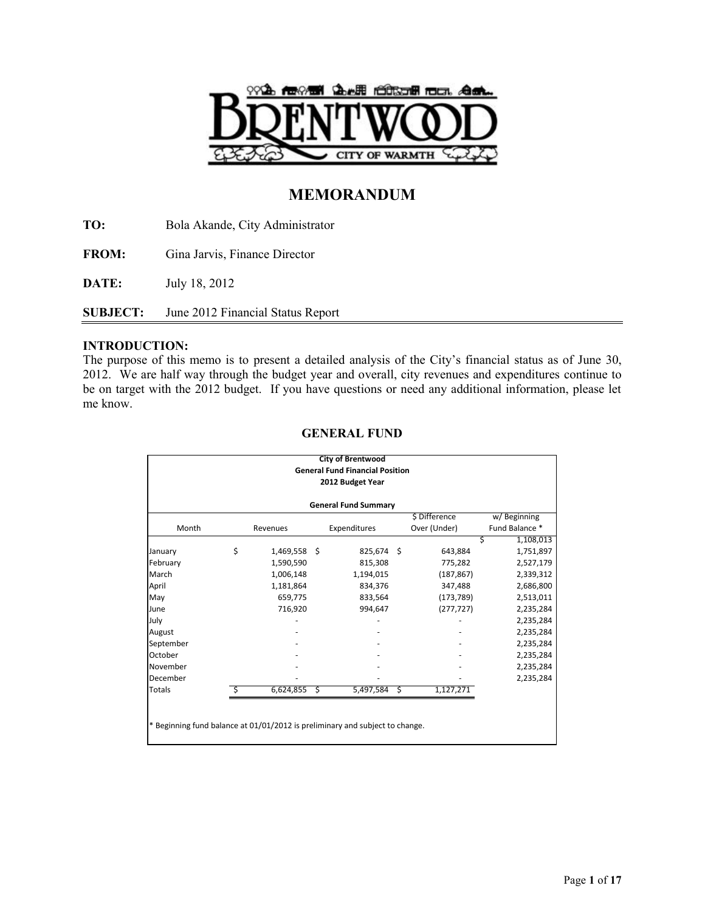

# **MEMORANDUM**

**TO:** Bola Akande, City Administrator

**FROM:** Gina Jarvis, Finance Director

**DATE:** July 18, 2012

**SUBJECT:** June 2012 Financial Status Report

## **INTRODUCTION:**

The purpose of this memo is to present a detailed analysis of the City's financial status as of June 30, 2012. We are half way through the budget year and overall, city revenues and expenditures continue to be on target with the 2012 budget. If you have questions or need any additional information, please let me know.

|           |                             |           |     | <b>City of Brentwood</b><br><b>General Fund Financial Position</b>           |    |                               |   |                               |  |  |  |  |  |  |
|-----------|-----------------------------|-----------|-----|------------------------------------------------------------------------------|----|-------------------------------|---|-------------------------------|--|--|--|--|--|--|
|           |                             |           |     | 2012 Budget Year                                                             |    |                               |   |                               |  |  |  |  |  |  |
|           | <b>General Fund Summary</b> |           |     |                                                                              |    |                               |   |                               |  |  |  |  |  |  |
| Month     |                             | Revenues  |     | Expenditures                                                                 |    | \$ Difference<br>Over (Under) |   | w/Beginning<br>Fund Balance * |  |  |  |  |  |  |
|           |                             |           |     |                                                                              |    |                               | Ś | 1,108,013                     |  |  |  |  |  |  |
| January   | \$                          | 1,469,558 | - Ś | 825,674                                                                      | -Ś | 643,884                       |   | 1,751,897                     |  |  |  |  |  |  |
| February  |                             | 1,590,590 |     | 815,308                                                                      |    | 775,282                       |   | 2,527,179                     |  |  |  |  |  |  |
| March     |                             | 1,006,148 |     | 1,194,015                                                                    |    | (187, 867)                    |   | 2,339,312                     |  |  |  |  |  |  |
| April     |                             | 1,181,864 |     | 834,376                                                                      |    | 347,488                       |   | 2,686,800                     |  |  |  |  |  |  |
| May       |                             | 659,775   |     | 833,564                                                                      |    | (173, 789)                    |   | 2,513,011                     |  |  |  |  |  |  |
| June      |                             | 716,920   |     | 994,647                                                                      |    | (277, 727)                    |   | 2,235,284                     |  |  |  |  |  |  |
| July      |                             |           |     |                                                                              |    |                               |   | 2,235,284                     |  |  |  |  |  |  |
| August    |                             |           |     |                                                                              |    |                               |   | 2,235,284                     |  |  |  |  |  |  |
| September |                             |           |     |                                                                              |    |                               |   | 2,235,284                     |  |  |  |  |  |  |
| October   |                             |           |     |                                                                              |    |                               |   | 2,235,284                     |  |  |  |  |  |  |
| November  |                             |           |     |                                                                              |    |                               |   | 2,235,284                     |  |  |  |  |  |  |
| December  |                             |           |     |                                                                              |    |                               |   | 2,235,284                     |  |  |  |  |  |  |
| Totals    |                             | 6,624,855 | S   | 5,497,584                                                                    | Ŝ. | 1,127,271                     |   |                               |  |  |  |  |  |  |
|           |                             |           |     |                                                                              |    |                               |   |                               |  |  |  |  |  |  |
|           |                             |           |     |                                                                              |    |                               |   |                               |  |  |  |  |  |  |
|           |                             |           |     | * Beginning fund balance at 01/01/2012 is preliminary and subject to change. |    |                               |   |                               |  |  |  |  |  |  |

## **GENERAL FUND**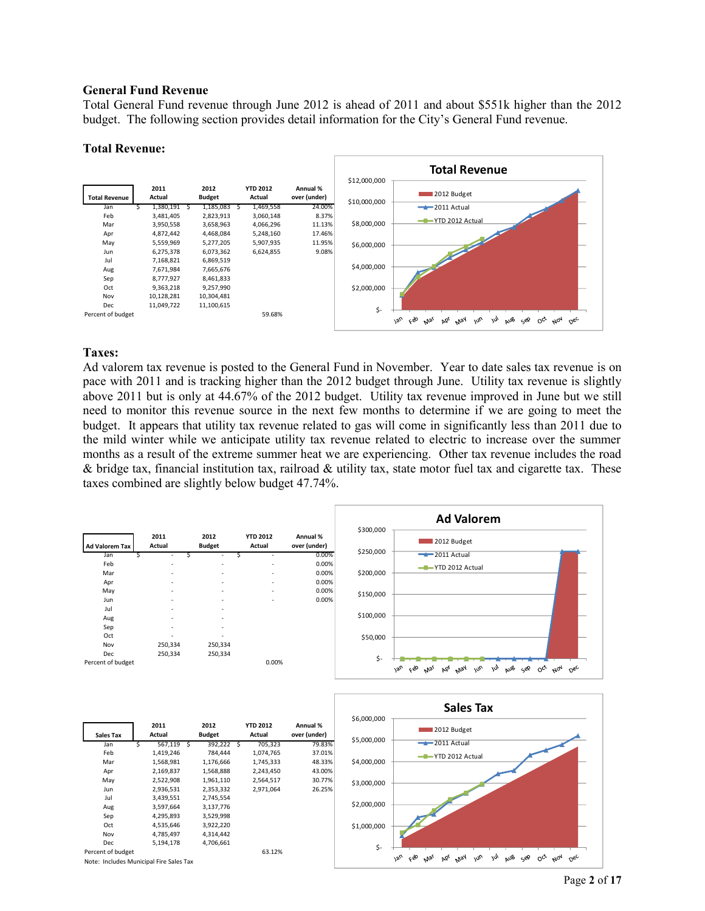#### **General Fund Revenue**

Total General Fund revenue through June 2012 is ahead of 2011 and about \$551k higher than the 2012 budget. The following section provides detail information for the City's General Fund revenue.

#### **Total Revenue:**



### **Taxes:**

Ad valorem tax revenue is posted to the General Fund in November. Year to date sales tax revenue is on pace with 2011 and is tracking higher than the 2012 budget through June. Utility tax revenue is slightly above 2011 but is only at 44.67% of the 2012 budget. Utility tax revenue improved in June but we still need to monitor this revenue source in the next few months to determine if we are going to meet the budget. It appears that utility tax revenue related to gas will come in significantly less than 2011 due to the mild winter while we anticipate utility tax revenue related to electric to increase over the summer months as a result of the extreme summer heat we are experiencing. Other tax revenue includes the road & bridge tax, financial institution tax, railroad & utility tax, state motor fuel tax and cigarette tax. These taxes combined are slightly below budget 47.74%.

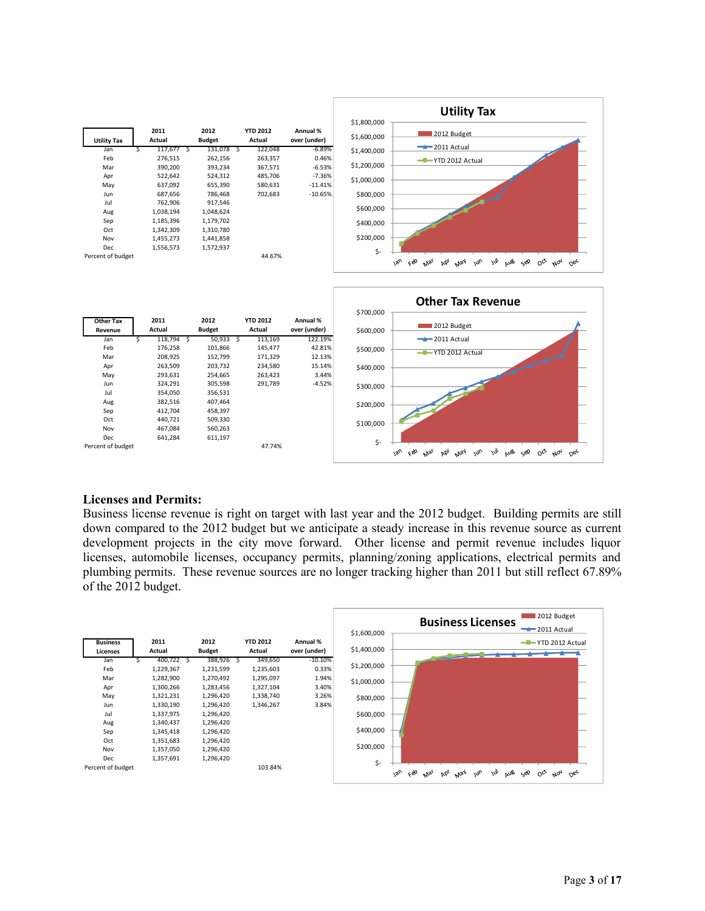



## **Licenses and Permits:**

Business license revenue is right on target with last year and the 2012 budget. Building permits are still down compared to the 2012 budget but we anticipate a steady increase in this revenue source as current development projects in the city move forward. Other license and permit revenue includes liquor licenses, automobile licenses, occupancy permits, planning/zoning applications, electrical permits and plumbing permits. These revenue sources are no longer tracking higher than 2011 but still reflect 67.89% of the 2012 budget.

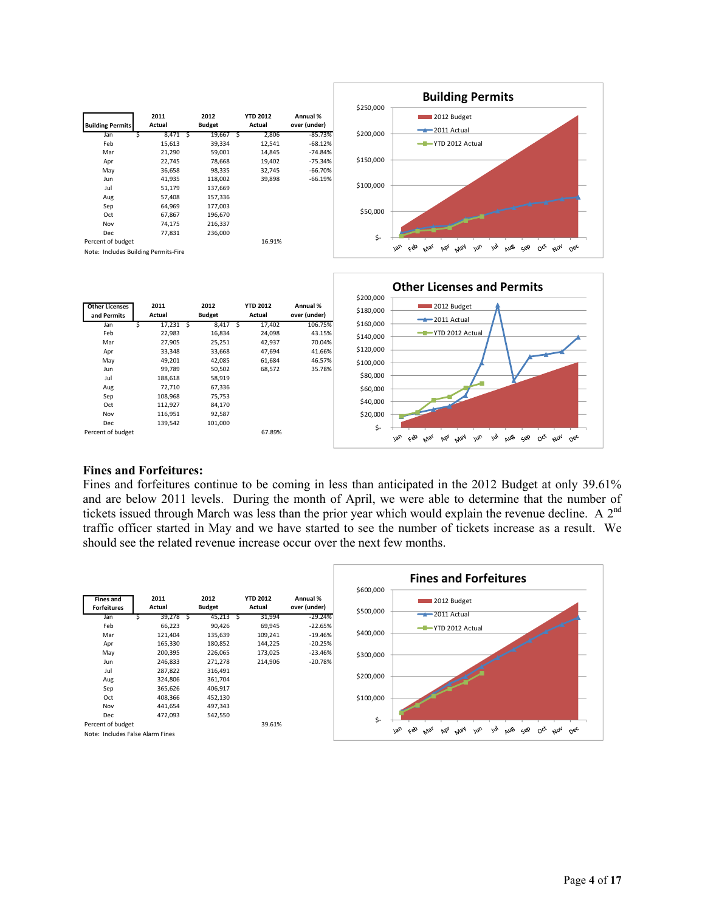

|                                      |                |                       |                           |                          | \$200,000 |                                                                                                                                                                    |
|--------------------------------------|----------------|-----------------------|---------------------------|--------------------------|-----------|--------------------------------------------------------------------------------------------------------------------------------------------------------------------|
| <b>Other Licenses</b><br>and Permits | 2011<br>Actual | 2012<br><b>Budget</b> | <b>YTD 2012</b><br>Actual | Annual %<br>over (under) | \$180,000 | 2012 Budget<br>$-2011$ Actual                                                                                                                                      |
| Jan                                  | 17,231         | 8,417                 | 17,402                    | 106.75%                  | \$160,000 |                                                                                                                                                                    |
| Feb                                  | 22,983         | 16,834                | 24,098                    | 43.15%                   | \$140,000 | YTD 2012 Actual                                                                                                                                                    |
| Mar                                  | 27,905         | 25,251                | 42,937                    | 70.04%                   |           |                                                                                                                                                                    |
| Apr                                  | 33,348         | 33,668                | 47,694                    | 41.66%                   | \$120,000 |                                                                                                                                                                    |
| May                                  | 49,201         | 42,085                | 61,684                    | 46.57%                   | \$100,000 |                                                                                                                                                                    |
| Jun                                  | 99,789         | 50,502                | 68,572                    | 35.78%                   |           |                                                                                                                                                                    |
| Jul                                  | 188,618        | 58,919                |                           |                          | \$80,000  |                                                                                                                                                                    |
| Aug                                  | 72,710         | 67,336                |                           |                          | \$60,000  |                                                                                                                                                                    |
| Sep                                  | 108,968        | 75,753                |                           |                          |           |                                                                                                                                                                    |
| Oct                                  | 112,927        | 84,170                |                           |                          | \$40,000  |                                                                                                                                                                    |
| Nov                                  | 116,951        | 92,587                |                           |                          | \$20,000  |                                                                                                                                                                    |
| Dec                                  | 139,542        | 101,000               |                           |                          | \$-       |                                                                                                                                                                    |
| Percent of budget                    |                |                       | 67.89%                    |                          |           | Feb<br>$\mathcal{M}$<br>$v_{\text{v}}$<br>w <sub>b</sub><br>$O_{c}$<br>AUB<br>$N_{\text{O}_{\text{A}}}$<br>May<br>ςوΩ<br>$\circ^{\circ}$<br>Mar<br>bb <sub>l</sub> |

## **Fines and Forfeitures:**

Fines and forfeitures continue to be coming in less than anticipated in the 2012 Budget at only 39.61% and are below 2011 levels. During the month of April, we were able to determine that the number of tickets issued through March was less than the prior year which would explain the revenue decline. A  $2^{nd}$ traffic officer started in May and we have started to see the number of tickets increase as a result. We should see the related revenue increase occur over the next few months.

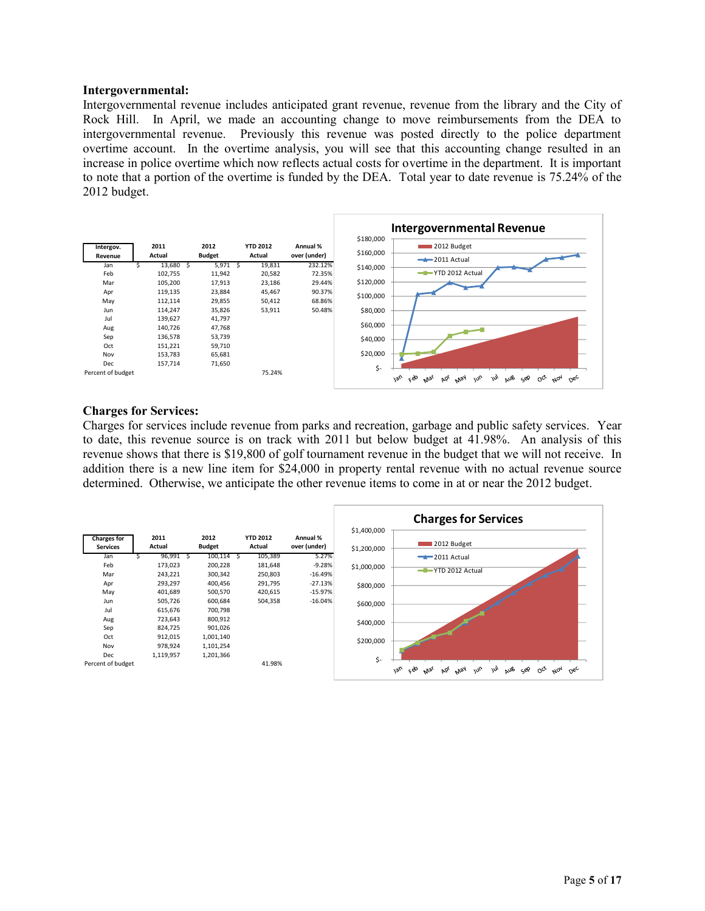#### **Intergovernmental:**

Intergovernmental revenue includes anticipated grant revenue, revenue from the library and the City of Rock Hill. In April, we made an accounting change to move reimbursements from the DEA to intergovernmental revenue. Previously this revenue was posted directly to the police department overtime account. In the overtime analysis, you will see that this accounting change resulted in an increase in police overtime which now reflects actual costs for overtime in the department. It is important to note that a portion of the overtime is funded by the DEA. Total year to date revenue is 75.24% of the 2012 budget.



#### **Charges for Services:**

Charges for services include revenue from parks and recreation, garbage and public safety services. Year to date, this revenue source is on track with 2011 but below budget at 41.98%. An analysis of this revenue shows that there is \$19,800 of golf tournament revenue in the budget that we will not receive. In addition there is a new line item for \$24,000 in property rental revenue with no actual revenue source determined. Otherwise, we anticipate the other revenue items to come in at or near the 2012 budget.

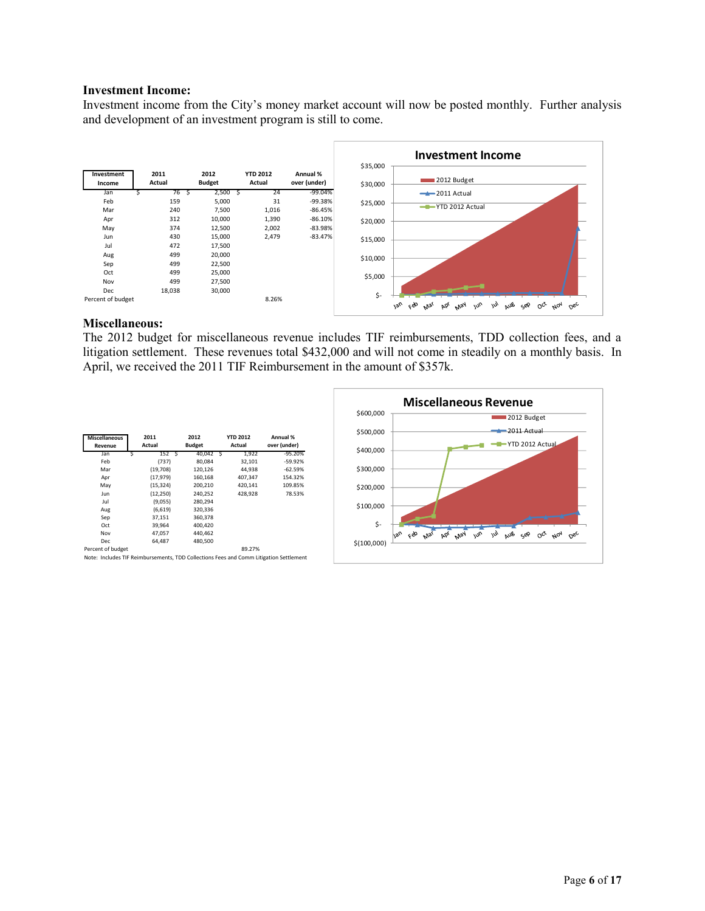#### **Investment Income:**

Investment income from the City's money market account will now be posted monthly. Further analysis and development of an investment program is still to come.



#### **Miscellaneous:**

The 2012 budget for miscellaneous revenue includes TIF reimbursements, TDD collection fees, and a litigation settlement. These revenues total \$432,000 and will not come in steadily on a monthly basis. In April, we received the 2011 TIF Reimbursement in the amount of \$357k.

| <b>Miscellaneous</b><br>Revenue | 2011<br>Actual | 2012<br><b>Budget</b> | <b>YTD 2012</b><br>Actual | Annual %<br>over (under) |
|---------------------------------|----------------|-----------------------|---------------------------|--------------------------|
| Jan                             | 152S           | 40,042 \$             | 1,922                     | $-95.20%$                |
| Feb                             | (737)          | 80.084                | 32,101                    | $-59.92%$                |
| Mar                             | (19,708)       | 120,126               | 44.938                    | $-62.59%$                |
| Apr                             | (17, 979)      | 160,168               | 407,347                   | 154.32%                  |
| May                             | (15, 324)      | 200.210               | 420.141                   | 109.85%                  |
| Jun                             | (12, 250)      | 240,252               | 428,928                   | 78.53%                   |
| Jul                             | (9,055)        | 280,294               |                           |                          |
| Aug                             | (6,619)        | 320,336               |                           |                          |
| Sep                             | 37,151         | 360,378               |                           |                          |
| Oct                             | 39,964         | 400.420               |                           |                          |
| Nov                             | 47,057         | 440,462               |                           |                          |
| Dec                             | 64.487         | 480,500               |                           |                          |
| Percent of budget               |                |                       | 89.27%                    |                          |

Note: Includes TIF Reimbursements, TDD Collections Fees and Comm Litigation Settlement

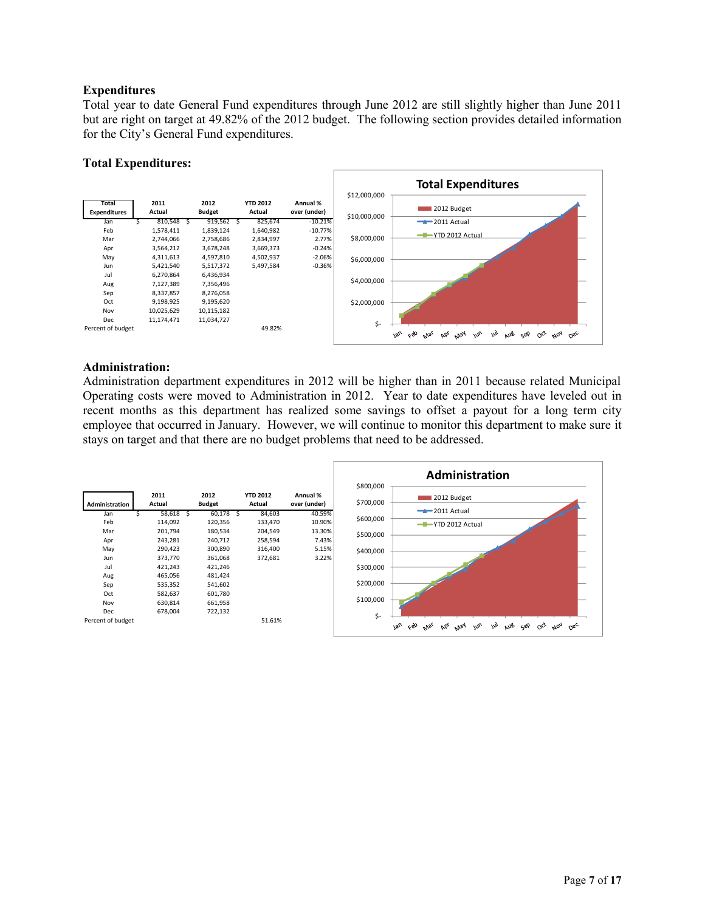## **Expenditures**

Total year to date General Fund expenditures through June 2012 are still slightly higher than June 2011 but are right on target at 49.82% of the 2012 budget. The following section provides detailed information for the City's General Fund expenditures.

## **Total Expenditures:**



## **Administration:**

Administration department expenditures in 2012 will be higher than in 2011 because related Municipal Operating costs were moved to Administration in 2012. Year to date expenditures have leveled out in recent months as this department has realized some savings to offset a payout for a long term city employee that occurred in January. However, we will continue to monitor this department to make sure it stays on target and that there are no budget problems that need to be addressed.

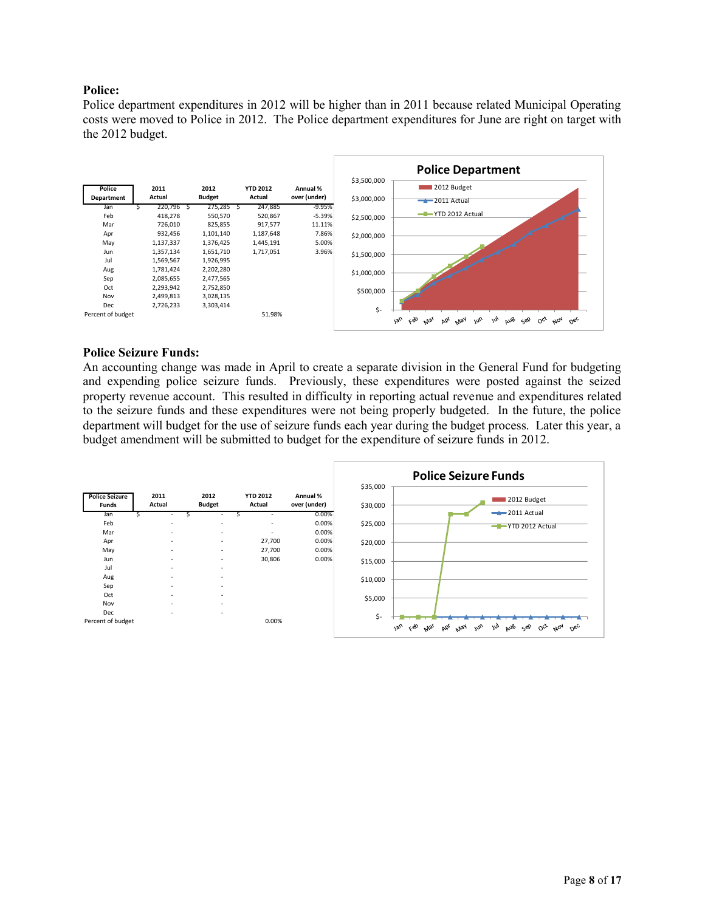## **Police:**

Police department expenditures in 2012 will be higher than in 2011 because related Municipal Operating costs were moved to Police in 2012. The Police department expenditures for June are right on target with the 2012 budget.



#### **Police Seizure Funds:**

An accounting change was made in April to create a separate division in the General Fund for budgeting and expending police seizure funds. Previously, these expenditures were posted against the seized property revenue account. This resulted in difficulty in reporting actual revenue and expenditures related to the seizure funds and these expenditures were not being properly budgeted. In the future, the police department will budget for the use of seizure funds each year during the budget process. Later this year, a budget amendment will be submitted to budget for the expenditure of seizure funds in 2012.

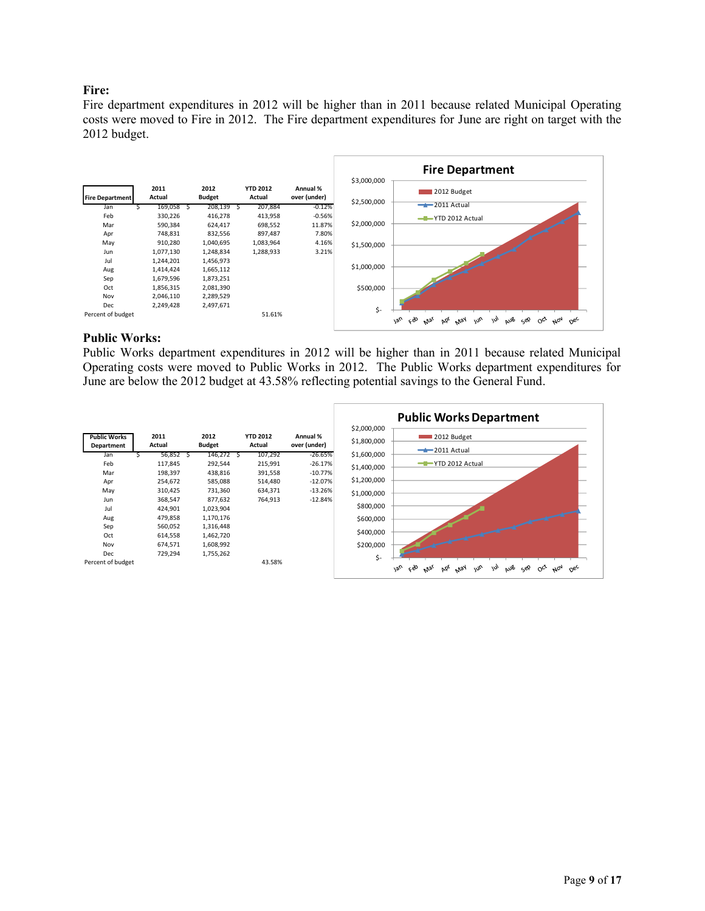## **Fire:**

Fire department expenditures in 2012 will be higher than in 2011 because related Municipal Operating costs were moved to Fire in 2012. The Fire department expenditures for June are right on target with the 2012 budget.



#### **Public Works:**

Public Works department expenditures in 2012 will be higher than in 2011 because related Municipal Operating costs were moved to Public Works in 2012. The Public Works department expenditures for June are below the 2012 budget at 43.58% reflecting potential savings to the General Fund.

|                                   |                |                       |                           |                          |                            | <b>Public Works Department</b>                                                                                                                                  |
|-----------------------------------|----------------|-----------------------|---------------------------|--------------------------|----------------------------|-----------------------------------------------------------------------------------------------------------------------------------------------------------------|
| <b>Public Works</b><br>Department | 2011<br>Actual | 2012<br><b>Budget</b> | <b>YTD 2012</b><br>Actual | Annual %<br>over (under) | \$2,000,000<br>\$1,800,000 | 2012 Budget<br>$-2011$ Actual                                                                                                                                   |
| Jan                               | 56,852         | 146,272 \$            | 107,292                   | $-26.65%$                | \$1,600,000                |                                                                                                                                                                 |
| Feb                               | 117,845        | 292,544               | 215,991                   | $-26.17%$                | \$1,400,000                | -T-YTD 2012 Actual                                                                                                                                              |
| Mar                               | 198,397        | 438,816               | 391,558                   | $-10.77%$                |                            |                                                                                                                                                                 |
| Apr                               | 254,672        | 585,088               | 514,480                   | $-12.07%$                | \$1,200,000                |                                                                                                                                                                 |
| May                               | 310,425        | 731,360               | 634,371                   | $-13.26%$                | \$1,000,000                |                                                                                                                                                                 |
| Jun                               | 368,547        | 877,632               | 764,913                   | $-12.84%$                |                            |                                                                                                                                                                 |
| Jul                               | 424,901        | 1,023,904             |                           |                          | \$800,000                  |                                                                                                                                                                 |
| Aug                               | 479,858        | 1,170,176             |                           |                          | \$600,000                  |                                                                                                                                                                 |
| Sep                               | 560,052        | 1,316,448             |                           |                          |                            |                                                                                                                                                                 |
| Oct                               | 614,558        | 1,462,720             |                           |                          | \$400,000                  |                                                                                                                                                                 |
| Nov                               | 674,571        | 1,608,992             |                           |                          | \$200,000                  |                                                                                                                                                                 |
| Dec                               | 729,294        | 1,755,262             |                           |                          | \$-                        |                                                                                                                                                                 |
| Percent of budget                 |                |                       | 43.58%                    |                          |                            | $180^{\circ}$<br>ceo<br>May<br>w <sub>o</sub><br>aus<br>$\mu_{04}$<br>bb <sub>e</sub><br>$\omega$<br>دوQ<br>$O_{C_{\mathcal{C}}}$<br>$O_{6c}$<br>M <sub>3</sub> |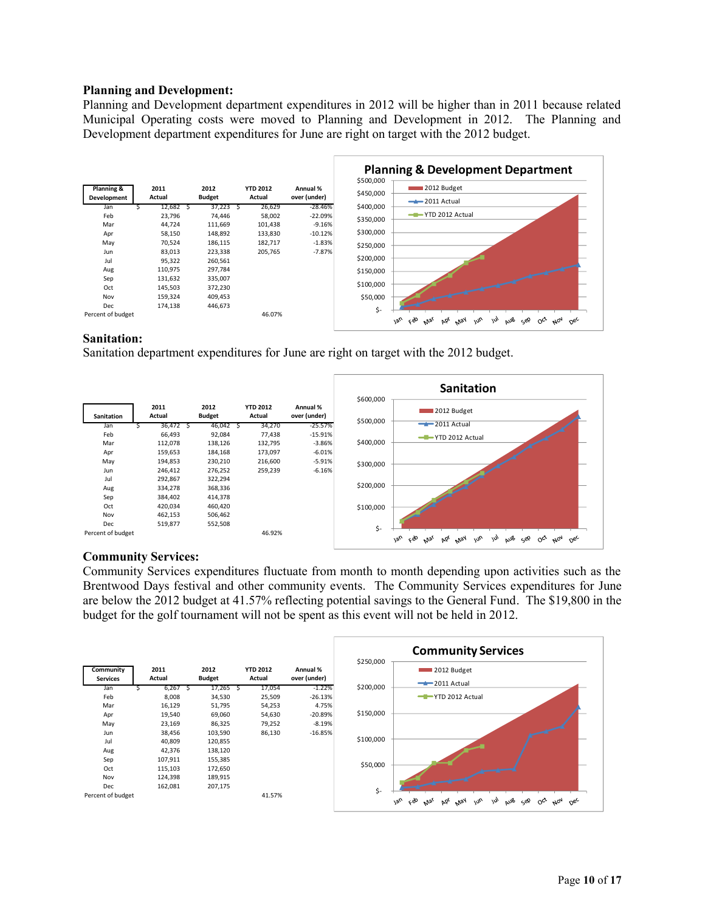#### **Planning and Development:**

Planning and Development department expenditures in 2012 will be higher than in 2011 because related Municipal Operating costs were moved to Planning and Development in 2012. The Planning and Development department expenditures for June are right on target with the 2012 budget.



## **Sanitation:**

Sanitation department expenditures for June are right on target with the 2012 budget.



## **Community Services:**

Community Services expenditures fluctuate from month to month depending upon activities such as the Brentwood Days festival and other community events. The Community Services expenditures for June are below the 2012 budget at 41.57% reflecting potential savings to the General Fund. The \$19,800 in the budget for the golf tournament will not be spent as this event will not be held in 2012.

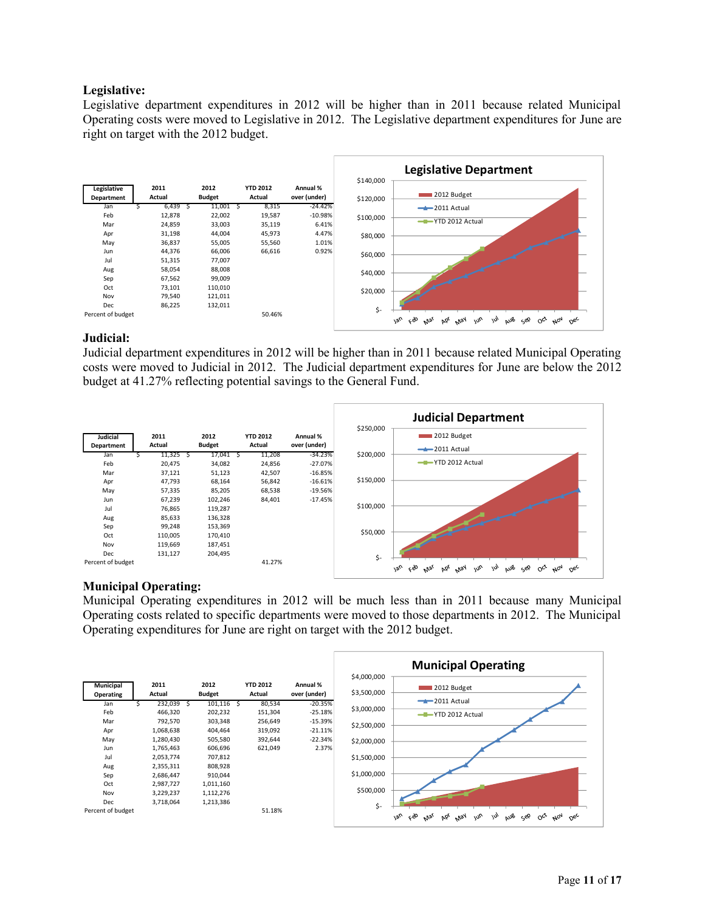## **Legislative:**

Legislative department expenditures in 2012 will be higher than in 2011 because related Municipal Operating costs were moved to Legislative in 2012. The Legislative department expenditures for June are right on target with the 2012 budget.



## **Judicial:**

Judicial department expenditures in 2012 will be higher than in 2011 because related Municipal Operating costs were moved to Judicial in 2012. The Judicial department expenditures for June are below the 2012 budget at 41.27% reflecting potential savings to the General Fund.



## **Municipal Operating:**

Municipal Operating expenditures in 2012 will be much less than in 2011 because many Municipal Operating costs related to specific departments were moved to those departments in 2012. The Municipal Operating expenditures for June are right on target with the 2012 budget.

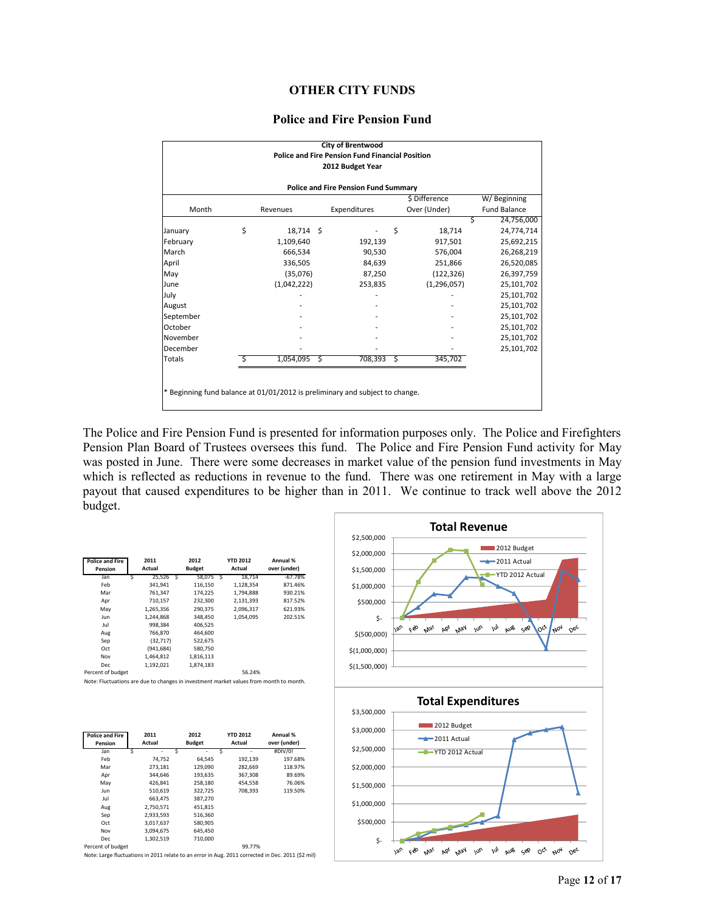## **OTHER CITY FUNDS**

#### **Police and Fire Pension Fund**

|                                                                              |    |                |  | <b>City of Brentwood</b>                               |    |               |                     |  |  |  |  |
|------------------------------------------------------------------------------|----|----------------|--|--------------------------------------------------------|----|---------------|---------------------|--|--|--|--|
|                                                                              |    |                |  | <b>Police and Fire Pension Fund Financial Position</b> |    |               |                     |  |  |  |  |
|                                                                              |    |                |  | 2012 Budget Year                                       |    |               |                     |  |  |  |  |
| <b>Police and Fire Pension Fund Summary</b>                                  |    |                |  |                                                        |    |               |                     |  |  |  |  |
|                                                                              |    |                |  |                                                        |    | \$ Difference | W/Beginning         |  |  |  |  |
| Month                                                                        |    | Revenues       |  | Expenditures                                           |    | Over (Under)  | <b>Fund Balance</b> |  |  |  |  |
|                                                                              |    |                |  |                                                        |    | Ś             | 24,756,000          |  |  |  |  |
| January                                                                      | \$ | 18,714 \$      |  |                                                        | \$ | 18,714        | 24,774,714          |  |  |  |  |
| February                                                                     |    | 1,109,640      |  | 192,139                                                |    | 917,501       | 25,692,215          |  |  |  |  |
| March                                                                        |    | 666,534        |  | 90,530                                                 |    | 576,004       | 26,268,219          |  |  |  |  |
| April                                                                        |    | 336,505        |  | 84,639                                                 |    | 251,866       | 26,520,085          |  |  |  |  |
| May                                                                          |    | (35,076)       |  | 87,250                                                 |    | (122, 326)    | 26,397,759          |  |  |  |  |
| June                                                                         |    | (1,042,222)    |  | 253,835                                                |    | (1, 296, 057) | 25,101,702          |  |  |  |  |
| July                                                                         |    |                |  |                                                        |    |               | 25,101,702          |  |  |  |  |
| August                                                                       |    |                |  |                                                        |    |               | 25,101,702          |  |  |  |  |
| September                                                                    |    |                |  |                                                        |    |               | 25,101,702          |  |  |  |  |
| October                                                                      |    |                |  |                                                        |    |               | 25,101,702          |  |  |  |  |
| November                                                                     |    |                |  |                                                        |    |               | 25,101,702          |  |  |  |  |
| December                                                                     |    |                |  |                                                        |    |               | 25,101,702          |  |  |  |  |
| Totals                                                                       |    | $1,054,095$ \$ |  | 708,393                                                | -S | 345,702       |                     |  |  |  |  |
|                                                                              |    |                |  |                                                        |    |               |                     |  |  |  |  |
|                                                                              |    |                |  |                                                        |    |               |                     |  |  |  |  |
| * Beginning fund balance at 01/01/2012 is preliminary and subject to change. |    |                |  |                                                        |    |               |                     |  |  |  |  |
|                                                                              |    |                |  |                                                        |    |               |                     |  |  |  |  |

The Police and Fire Pension Fund is presented for information purposes only. The Police and Firefighters Pension Plan Board of Trustees oversees this fund. The Police and Fire Pension Fund activity for May was posted in June. There were some decreases in market value of the pension fund investments in May which is reflected as reductions in revenue to the fund. There was one retirement in May with a large payout that caused expenditures to be higher than in 2011. We continue to track well above the 2012 budget.

| <b>Police and Fire</b><br>Pension |   | 2011<br>Actual | 2012<br><b>Budget</b> |   | <b>YTD 2012</b><br>Actual | Annual %<br>over (under) |
|-----------------------------------|---|----------------|-----------------------|---|---------------------------|--------------------------|
| Jan                               | Ś | $25.526$ \$    | 58.075                | Ŝ | 18.714                    | $-67.78%$                |
| Feb                               |   | 341.941        | 116,150               |   | 1.128.354                 | 871.46%                  |
| Mar                               |   | 761.347        | 174.225               |   | 1.794.888                 | 930.21%                  |
| Apr                               |   | 710.157        | 232,300               |   | 2.131.393                 | 817.52%                  |
| Mav                               |   | 1.265.356      | 290.375               |   | 2.096.317                 | 621.93%                  |
| Jun                               |   | 1.244.868      | 348,450               |   | 1.054.095                 | 202.51%                  |
| Jul                               |   | 998.384        | 406.525               |   |                           |                          |
| Aug                               |   | 766.870        | 464.600               |   |                           |                          |
| Sep                               |   | (32, 717)      | 522,675               |   |                           |                          |
| Oct                               |   | (941, 684)     | 580,750               |   |                           |                          |
| Nov                               |   | 1.464.812      | 1,816,113             |   |                           |                          |
| Dec                               |   | 1,192,021      | 1,874,183             |   |                           |                          |
| Desere al Indepen                 |   |                |                       |   | $PQ = 2AQ$                |                          |

Percent of budget 56.24% Note: Fluctuations are due to changes in investment market values from month to month.

| <b>Police and Fire</b><br>Pension | 2011<br>Actual | 2012<br><b>Budget</b> | <b>YTD 2012</b><br>Actual | Annual %<br>over (under) |
|-----------------------------------|----------------|-----------------------|---------------------------|--------------------------|
| Jan                               | ٠              | s                     | ۰                         | #DIV/0!                  |
| Feb                               | 74.752         | 64.545                | 192,139                   | 197.68%                  |
| Mar                               | 273,181        | 129,090               | 282,669                   | 118.97%                  |
| Apr                               | 344.646        | 193.635               | 367.308                   | 89.69%                   |
| May                               | 426.841        | 258,180               | 454.558                   | 76.06%                   |
| Jun                               | 510,619        | 322,725               | 708.393                   | 119.50%                  |
| Jul                               | 663.475        | 387.270               |                           |                          |
| Aug                               | 2.750.571      | 451.815               |                           |                          |
| Sep                               | 2,933,593      | 516,360               |                           |                          |
| Oct                               | 3,017,637      | 580,905               |                           |                          |
| Nov                               | 3.094.675      | 645.450               |                           |                          |
| Dec.                              | 1.302.519      | 710.000               |                           |                          |
| Percent of budget                 |                |                       | 99.77%                    |                          |

Note: Large fluctuations in 2011 relate to an error in Aug. 2011 corrected in Dec. 2011 (\$2 mil)

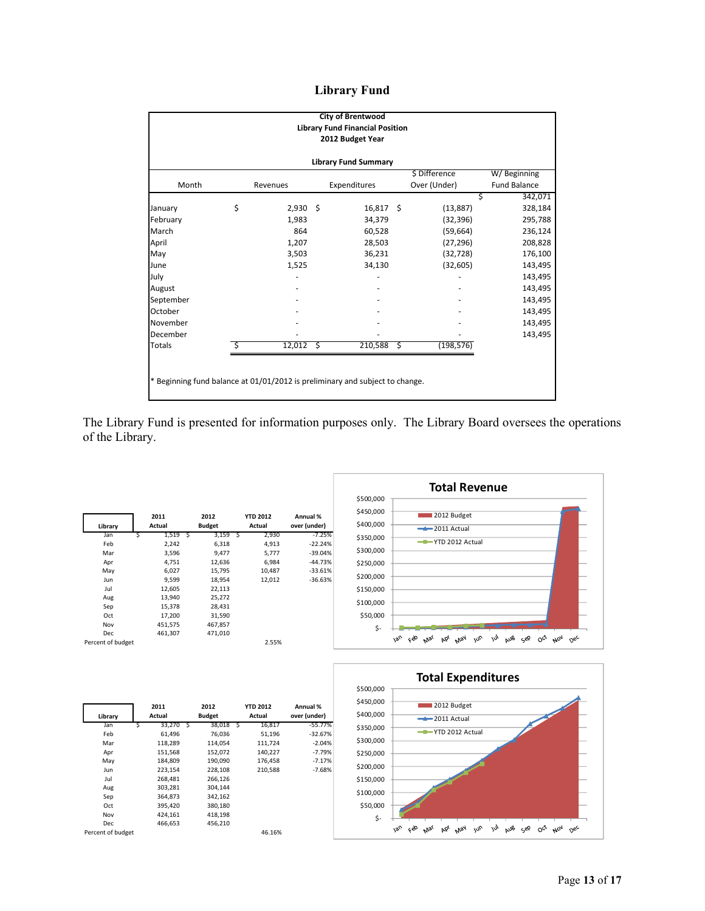## **Library Fund**

|                             | <b>City of Brentwood</b><br><b>Library Fund Financial Position</b><br>2012 Budget Year |            |    |              |    |               |                     |  |  |  |  |
|-----------------------------|----------------------------------------------------------------------------------------|------------|----|--------------|----|---------------|---------------------|--|--|--|--|
| <b>Library Fund Summary</b> |                                                                                        |            |    |              |    |               |                     |  |  |  |  |
|                             |                                                                                        |            |    |              |    | \$ Difference | W/Beginning         |  |  |  |  |
| Month                       |                                                                                        | Revenues   |    | Expenditures |    | Over (Under)  | <b>Fund Balance</b> |  |  |  |  |
|                             |                                                                                        |            |    |              |    | S             | 342,071             |  |  |  |  |
| January                     | \$                                                                                     | $2,930$ \$ |    | $16,817$ \$  |    | (13, 887)     | 328,184             |  |  |  |  |
| February                    |                                                                                        | 1,983      |    | 34,379       |    | (32, 396)     | 295,788             |  |  |  |  |
| March                       |                                                                                        | 864        |    | 60,528       |    | (59, 664)     | 236,124             |  |  |  |  |
| April                       |                                                                                        | 1,207      |    | 28,503       |    | (27, 296)     | 208,828             |  |  |  |  |
| May                         |                                                                                        | 3,503      |    | 36,231       |    | (32, 728)     | 176,100             |  |  |  |  |
| June                        |                                                                                        | 1,525      |    | 34,130       |    | (32, 605)     | 143,495             |  |  |  |  |
| July                        |                                                                                        |            |    |              |    |               | 143,495             |  |  |  |  |
| August                      |                                                                                        |            |    |              |    |               | 143,495             |  |  |  |  |
| September                   |                                                                                        |            |    |              |    |               | 143,495             |  |  |  |  |
| October                     |                                                                                        |            |    |              |    |               | 143,495             |  |  |  |  |
| November                    |                                                                                        |            |    |              |    |               | 143,495             |  |  |  |  |
| December                    |                                                                                        |            |    |              |    |               | 143,495             |  |  |  |  |
| Totals                      | Ś                                                                                      | 12,012     | Ŝ. | 210,588      | \$ | (198, 576)    |                     |  |  |  |  |
|                             | * Beginning fund balance at 01/01/2012 is preliminary and subject to change.           |            |    |              |    |               |                     |  |  |  |  |

The Library Fund is presented for information purposes only. The Library Board oversees the operations of the Library.

|                   |   | 2011    |   | 2012          | <b>YTD 2012</b> | Annual %     |
|-------------------|---|---------|---|---------------|-----------------|--------------|
| Library           |   | Actual  |   | <b>Budget</b> | Actual          | over (under) |
| Jan               | Ś | 1,519   | Ś | $3,159$ \$    | 2,930           | $-7.25%$     |
| Feb               |   | 2,242   |   | 6,318         | 4,913           | $-22.24%$    |
| Mar               |   | 3,596   |   | 9,477         | 5,777           | $-39.04%$    |
| Apr               |   | 4,751   |   | 12,636        | 6,984           | $-44.73%$    |
| May               |   | 6,027   |   | 15,795        | 10,487          | $-33.61%$    |
| Jun               |   | 9,599   |   | 18,954        | 12,012          | $-36.63%$    |
| Jul               |   | 12,605  |   | 22,113        |                 |              |
| Aug               |   | 13,940  |   | 25,272        |                 |              |
| Sep               |   | 15,378  |   | 28,431        |                 |              |
| Oct               |   | 17,200  |   | 31,590        |                 |              |
| Nov               |   | 451,575 |   | 467,857       |                 |              |
| Dec               |   | 461,307 |   | 471,010       |                 |              |
| Percent of budget |   |         |   |               | 2.55%           |              |





|                   | 2011        |   | 2012          |   | <b>YTD 2012</b> | Annual %     |
|-------------------|-------------|---|---------------|---|-----------------|--------------|
| Library           | Actual      |   | <b>Budget</b> |   | Actual          | over (under) |
| Jan               | 33.270<br>Ś | Ś | 38.018        | Ś | 16,817          | $-55.77%$    |
| Feb               | 61,496      |   | 76.036        |   | 51,196          | $-32.67%$    |
| Mar               | 118,289     |   | 114,054       |   | 111,724         | $-2.04%$     |
| Apr               | 151,568     |   | 152,072       |   | 140,227         | $-7.79%$     |
| May               | 184,809     |   | 190,090       |   | 176,458         | $-7.17%$     |
| Jun               | 223,154     |   | 228,108       |   | 210,588         | $-7.68%$     |
| Jul               | 268,481     |   | 266,126       |   |                 |              |
| Aug               | 303,281     |   | 304,144       |   |                 |              |
| Sep               | 364,873     |   | 342,162       |   |                 |              |
| Oct               | 395,420     |   | 380,180       |   |                 |              |
| Nov               | 424,161     |   | 418,198       |   |                 |              |
| Dec               | 466,653     |   | 456,210       |   |                 |              |
| Percent of budget |             |   |               |   | 46.16%          |              |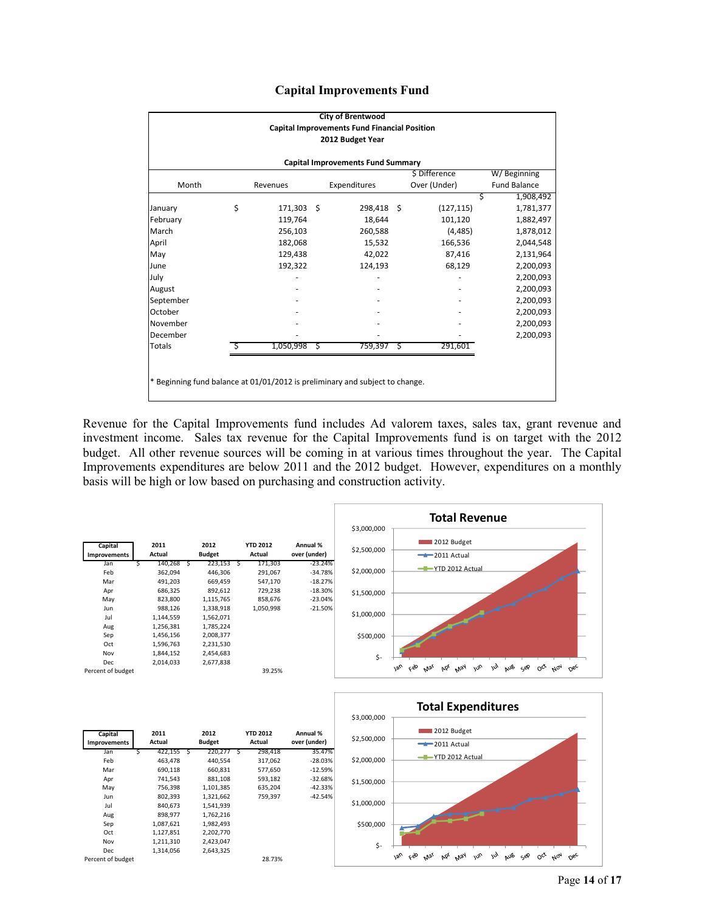|  | <b>Capital Improvements Fund</b> |  |
|--|----------------------------------|--|
|--|----------------------------------|--|

|                                                                              |    |            |   | <b>City of Brentwood</b>                            |   |               |                     |  |  |  |  |
|------------------------------------------------------------------------------|----|------------|---|-----------------------------------------------------|---|---------------|---------------------|--|--|--|--|
|                                                                              |    |            |   | <b>Capital Improvements Fund Financial Position</b> |   |               |                     |  |  |  |  |
|                                                                              |    |            |   | 2012 Budget Year                                    |   |               |                     |  |  |  |  |
| <b>Capital Improvements Fund Summary</b>                                     |    |            |   |                                                     |   |               |                     |  |  |  |  |
|                                                                              |    |            |   |                                                     |   | \$ Difference | W/Beginning         |  |  |  |  |
| Month                                                                        |    | Revenues   |   | Expenditures                                        |   | Over (Under)  | <b>Fund Balance</b> |  |  |  |  |
|                                                                              |    |            |   |                                                     |   |               | 1,908,492<br>Ś      |  |  |  |  |
| January                                                                      | \$ | 171,303 \$ |   | 298,418 \$                                          |   | (127, 115)    | 1,781,377           |  |  |  |  |
| February                                                                     |    | 119,764    |   | 18,644                                              |   | 101,120       | 1,882,497           |  |  |  |  |
| March                                                                        |    | 256,103    |   | 260,588                                             |   | (4, 485)      | 1,878,012           |  |  |  |  |
| April                                                                        |    | 182,068    |   | 15,532                                              |   | 166,536       | 2,044,548           |  |  |  |  |
| May                                                                          |    | 129,438    |   | 42,022                                              |   | 87,416        | 2,131,964           |  |  |  |  |
| June                                                                         |    | 192,322    |   | 124,193                                             |   | 68,129        | 2,200,093           |  |  |  |  |
| July                                                                         |    |            |   |                                                     |   |               | 2,200,093           |  |  |  |  |
| August                                                                       |    |            |   |                                                     |   |               | 2,200,093           |  |  |  |  |
| September                                                                    |    |            |   |                                                     |   |               | 2,200,093           |  |  |  |  |
| October                                                                      |    |            |   |                                                     |   |               | 2,200,093           |  |  |  |  |
| November                                                                     |    |            |   |                                                     |   |               | 2,200,093           |  |  |  |  |
| December                                                                     |    |            |   |                                                     |   |               | 2,200,093           |  |  |  |  |
| <b>Totals</b>                                                                |    | 1,050,998  | S | 759,397                                             | S | 291,601       |                     |  |  |  |  |
|                                                                              |    |            |   |                                                     |   |               |                     |  |  |  |  |
|                                                                              |    |            |   |                                                     |   |               |                     |  |  |  |  |
| * Beginning fund balance at 01/01/2012 is preliminary and subject to change. |    |            |   |                                                     |   |               |                     |  |  |  |  |
|                                                                              |    |            |   |                                                     |   |               |                     |  |  |  |  |

Revenue for the Capital Improvements fund includes Ad valorem taxes, sales tax, grant revenue and investment income. Sales tax revenue for the Capital Improvements fund is on target with the 2012 budget. All other revenue sources will be coming in at various times throughout the year. The Capital Improvements expenditures are below 2011 and the 2012 budget. However, expenditures on a monthly basis will be high or low based on purchasing and construction activity.



 $\zeta$ \$500,000

\$1,000,000

Jun 802,393 1,321,662 759,397 -42.54%

Jul 840,673 1,541,939 Aug 898,977 1,762,216<br>Sep 1,087,621 1,982,493 Sep 1,087,621 1,982,493<br>Oct 1,127,851 2,202,770 Oct 1,127,851 2,202,770<br>Nov 1,211,310 2,423,047

Dec 1,314,056

1,211,310 2,423,047<br>1,314,056 2,643,325

Percent of budget 28.73%

Jan feb wai ppi wai jun jul pus sep oct woi pec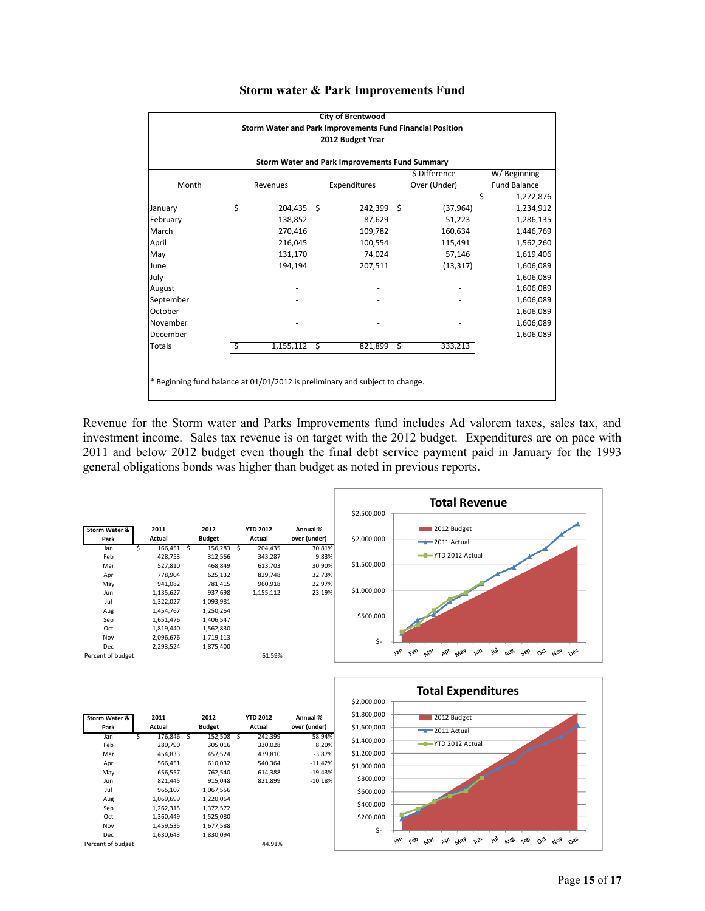|                                                                                                                                 |                                                                              |                |  | <b>City of Brentwood</b> |  |           |                |  |  |  |       |                              |          |  |              |  |              |                     |  |  |  |
|---------------------------------------------------------------------------------------------------------------------------------|------------------------------------------------------------------------------|----------------|--|--------------------------|--|-----------|----------------|--|--|--|-------|------------------------------|----------|--|--------------|--|--------------|---------------------|--|--|--|
| Storm Water and Park Improvements Fund Financial Position<br>2012 Budget Year<br>Storm Water and Park Improvements Fund Summary |                                                                              |                |  |                          |  |           |                |  |  |  |       |                              |          |  |              |  |              |                     |  |  |  |
|                                                                                                                                 |                                                                              |                |  |                          |  |           |                |  |  |  |       | \$ Difference<br>W/Beginning |          |  |              |  |              |                     |  |  |  |
|                                                                                                                                 |                                                                              |                |  |                          |  |           |                |  |  |  | Month |                              | Revenues |  | Expenditures |  | Over (Under) | <b>Fund Balance</b> |  |  |  |
|                                                                                                                                 |                                                                              |                |  |                          |  |           | 1,272,876<br>Ś |  |  |  |       |                              |          |  |              |  |              |                     |  |  |  |
| January                                                                                                                         | \$                                                                           | 204,435 \$     |  | 242,399 \$               |  | (37, 964) | 1,234,912      |  |  |  |       |                              |          |  |              |  |              |                     |  |  |  |
| February                                                                                                                        |                                                                              | 138,852        |  | 87,629                   |  | 51,223    | 1,286,135      |  |  |  |       |                              |          |  |              |  |              |                     |  |  |  |
| March                                                                                                                           |                                                                              | 270,416        |  | 109,782                  |  | 160,634   | 1,446,769      |  |  |  |       |                              |          |  |              |  |              |                     |  |  |  |
| April                                                                                                                           |                                                                              | 216,045        |  | 100,554                  |  | 115,491   | 1,562,260      |  |  |  |       |                              |          |  |              |  |              |                     |  |  |  |
| May                                                                                                                             |                                                                              | 131,170        |  | 74,024                   |  | 57,146    | 1,619,406      |  |  |  |       |                              |          |  |              |  |              |                     |  |  |  |
| June                                                                                                                            |                                                                              | 194,194        |  | 207,511                  |  | (13, 317) | 1,606,089      |  |  |  |       |                              |          |  |              |  |              |                     |  |  |  |
| July                                                                                                                            |                                                                              |                |  |                          |  |           | 1,606,089      |  |  |  |       |                              |          |  |              |  |              |                     |  |  |  |
| August                                                                                                                          |                                                                              |                |  |                          |  |           | 1,606,089      |  |  |  |       |                              |          |  |              |  |              |                     |  |  |  |
| September                                                                                                                       |                                                                              |                |  |                          |  |           | 1,606,089      |  |  |  |       |                              |          |  |              |  |              |                     |  |  |  |
| October                                                                                                                         |                                                                              |                |  |                          |  |           | 1,606,089      |  |  |  |       |                              |          |  |              |  |              |                     |  |  |  |
| November                                                                                                                        |                                                                              |                |  |                          |  |           | 1,606,089      |  |  |  |       |                              |          |  |              |  |              |                     |  |  |  |
| December                                                                                                                        |                                                                              |                |  |                          |  |           | 1,606,089      |  |  |  |       |                              |          |  |              |  |              |                     |  |  |  |
| <b>Totals</b>                                                                                                                   | Ś.                                                                           | $1,155,112$ \$ |  | 821,899 \$               |  | 333,213   |                |  |  |  |       |                              |          |  |              |  |              |                     |  |  |  |
|                                                                                                                                 |                                                                              |                |  |                          |  |           |                |  |  |  |       |                              |          |  |              |  |              |                     |  |  |  |
|                                                                                                                                 |                                                                              |                |  |                          |  |           |                |  |  |  |       |                              |          |  |              |  |              |                     |  |  |  |
|                                                                                                                                 | * Beginning fund balance at 01/01/2012 is preliminary and subject to change. |                |  |                          |  |           |                |  |  |  |       |                              |          |  |              |  |              |                     |  |  |  |
|                                                                                                                                 |                                                                              |                |  |                          |  |           |                |  |  |  |       |                              |          |  |              |  |              |                     |  |  |  |

#### **Storm water & Park Improvements Fund**

Revenue for the Storm water and Parks Improvements fund includes Ad valorem taxes, sales tax, and investment income. Sales tax revenue is on target with the 2012 budget. Expenditures are on pace with 2011 and below 2012 budget even though the final debt service payment paid in January for the 1993 general obligations bonds was higher than budget as noted in previous reports.



| Storm Water &     |   | 2011      |   | 2012          |   | <b>YTD 2012</b> | Annual %     |
|-------------------|---|-----------|---|---------------|---|-----------------|--------------|
| Park              |   | Actual    |   | <b>Budget</b> |   | Actual          | over (under) |
| Jan               | Ś | 176,846   | S | 152,508       | S | 242,399         | 58.94%       |
| Feb               |   | 280,790   |   | 305,016       |   | 330,028         | 8.20%        |
| Mar               |   | 454.833   |   | 457.524       |   | 439.810         | $-3.87%$     |
| Apr               |   | 566.451   |   | 610.032       |   | 540.364         | $-11.42%$    |
| May               |   | 656,557   |   | 762,540       |   | 614,388         | $-19.43%$    |
| Jun               |   | 821,445   |   | 915,048       |   | 821,899         | $-10.18%$    |
| Jul               |   | 965,107   |   | 1,067,556     |   |                 |              |
| Aug               |   | 1,069,699 |   | 1,220,064     |   |                 |              |
| Sep               |   | 1,262,315 |   | 1,372,572     |   |                 |              |
| Oct               |   | 1,360,449 |   | 1,525,080     |   |                 |              |
| Nov               |   | 1,459,535 |   | 1,677,588     |   |                 |              |
| Dec               |   | 1,630,643 |   | 1,830,094     |   |                 |              |
| Percent of budget |   |           |   |               |   | 44.91%          |              |

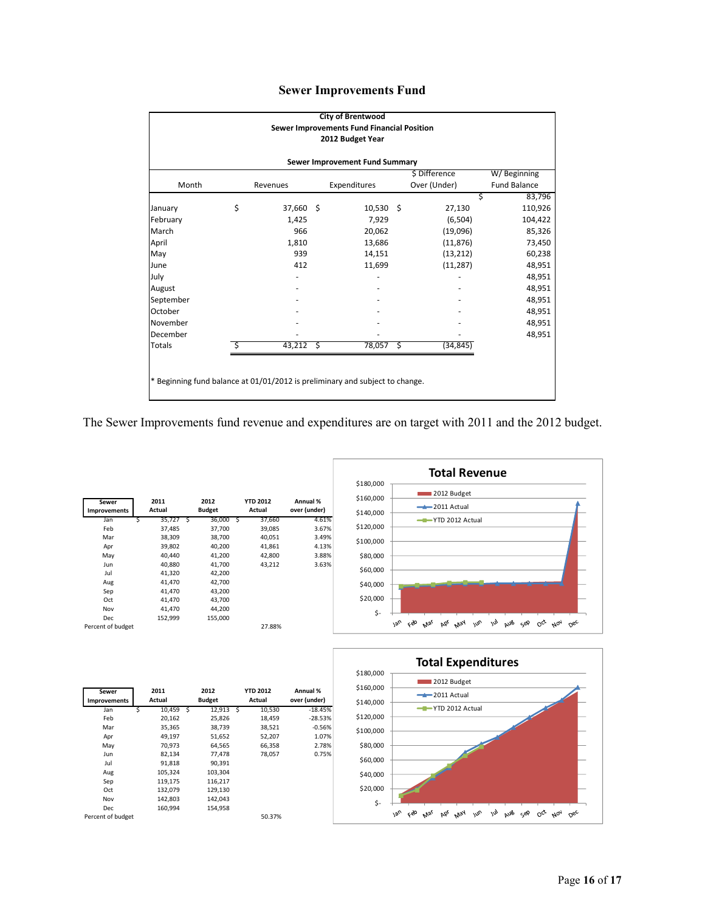|  | <b>Sewer Improvements Fund</b> |  |
|--|--------------------------------|--|
|--|--------------------------------|--|

|                                                                                                  |    |             |  | <b>City of Brentwood</b> |  |           |             |  |  |  |                              |  |          |  |              |  |              |                     |  |  |
|--------------------------------------------------------------------------------------------------|----|-------------|--|--------------------------|--|-----------|-------------|--|--|--|------------------------------|--|----------|--|--------------|--|--------------|---------------------|--|--|
| Sewer Improvements Fund Financial Position<br>2012 Budget Year<br>Sewer Improvement Fund Summary |    |             |  |                          |  |           |             |  |  |  |                              |  |          |  |              |  |              |                     |  |  |
|                                                                                                  |    |             |  |                          |  |           |             |  |  |  | \$ Difference<br>W/Beginning |  |          |  |              |  |              |                     |  |  |
|                                                                                                  |    |             |  |                          |  |           |             |  |  |  | Month                        |  | Revenues |  | Expenditures |  | Over (Under) | <b>Fund Balance</b> |  |  |
|                                                                                                  |    |             |  |                          |  |           | 83,796<br>Ś |  |  |  |                              |  |          |  |              |  |              |                     |  |  |
| January                                                                                          | \$ | 37,660 \$   |  | $10,530$ \$              |  | 27,130    | 110,926     |  |  |  |                              |  |          |  |              |  |              |                     |  |  |
| February                                                                                         |    | 1,425       |  | 7.929                    |  | (6,504)   | 104,422     |  |  |  |                              |  |          |  |              |  |              |                     |  |  |
| March                                                                                            |    | 966         |  | 20,062                   |  | (19,096)  | 85,326      |  |  |  |                              |  |          |  |              |  |              |                     |  |  |
| April                                                                                            |    | 1,810       |  | 13,686                   |  | (11, 876) | 73,450      |  |  |  |                              |  |          |  |              |  |              |                     |  |  |
| May                                                                                              |    | 939         |  | 14,151                   |  | (13, 212) | 60,238      |  |  |  |                              |  |          |  |              |  |              |                     |  |  |
| June                                                                                             |    | 412         |  | 11,699                   |  | (11, 287) | 48,951      |  |  |  |                              |  |          |  |              |  |              |                     |  |  |
| July                                                                                             |    |             |  |                          |  |           | 48,951      |  |  |  |                              |  |          |  |              |  |              |                     |  |  |
| August                                                                                           |    |             |  |                          |  |           | 48,951      |  |  |  |                              |  |          |  |              |  |              |                     |  |  |
| September                                                                                        |    |             |  |                          |  |           | 48,951      |  |  |  |                              |  |          |  |              |  |              |                     |  |  |
| October                                                                                          |    |             |  |                          |  |           | 48,951      |  |  |  |                              |  |          |  |              |  |              |                     |  |  |
| November                                                                                         |    |             |  |                          |  |           | 48,951      |  |  |  |                              |  |          |  |              |  |              |                     |  |  |
| December                                                                                         |    |             |  |                          |  |           | 48,951      |  |  |  |                              |  |          |  |              |  |              |                     |  |  |
| Totals                                                                                           | Ŝ  | $43,212$ \$ |  | 78,057 \$                |  | (34, 845) |             |  |  |  |                              |  |          |  |              |  |              |                     |  |  |
|                                                                                                  |    |             |  |                          |  |           |             |  |  |  |                              |  |          |  |              |  |              |                     |  |  |
|                                                                                                  |    |             |  |                          |  |           |             |  |  |  |                              |  |          |  |              |  |              |                     |  |  |
| * Beginning fund balance at 01/01/2012 is preliminary and subject to change.                     |    |             |  |                          |  |           |             |  |  |  |                              |  |          |  |              |  |              |                     |  |  |
|                                                                                                  |    |             |  |                          |  |           |             |  |  |  |                              |  |          |  |              |  |              |                     |  |  |

The Sewer Improvements fund revenue and expenditures are on target with 2011 and the 2012 budget.

| Sewer<br><b>Improvements</b> |   | 2011<br>Actual |   | 2012<br><b>Budget</b> |    | <b>YTD 2012</b><br>Actual | Annual %<br>over (under) |
|------------------------------|---|----------------|---|-----------------------|----|---------------------------|--------------------------|
| Jan                          | S | 35,727         | S | 36,000                | -S | 37,660                    | 4.61%                    |
| Feb                          |   | 37,485         |   | 37,700                |    | 39,085                    | 3.67%                    |
| Mar                          |   | 38,309         |   | 38,700                |    | 40.051                    | 3.49%                    |
| Apr                          |   | 39,802         |   | 40,200                |    | 41,861                    | 4.13%                    |
| May                          |   | 40.440         |   | 41,200                |    | 42,800                    | 3.88%                    |
| Jun                          |   | 40,880         |   | 41,700                |    | 43.212                    | 3.63%                    |
| Jul                          |   | 41,320         |   | 42,200                |    |                           |                          |
| Aug                          |   | 41,470         |   | 42,700                |    |                           |                          |
| Sep                          |   | 41,470         |   | 43,200                |    |                           |                          |
| Oct                          |   | 41,470         |   | 43,700                |    |                           |                          |
| Nov                          |   | 41,470         |   | 44.200                |    |                           |                          |
| Dec                          |   | 152,999        |   | 155,000               |    |                           |                          |
| Percent of budget            |   |                |   |                       |    | 27.88%                    |                          |





| Sewer<br>Improvements |   | 2011<br>Actual |   | 2012<br><b>Budget</b> |     | <b>YTD 2012</b><br>Actual | Annual %<br>over (under) |
|-----------------------|---|----------------|---|-----------------------|-----|---------------------------|--------------------------|
| Jan                   | S | 10,459         | Ŝ | 12,913                | - S | 10,530                    | $-18.45%$                |
| Feb                   |   | 20,162         |   | 25,826                |     | 18,459                    | $-28.53%$                |
| Mar                   |   | 35,365         |   | 38,739                |     | 38,521                    | $-0.56%$                 |
| Apr                   |   | 49,197         |   | 51,652                |     | 52,207                    | 1.07%                    |
| May                   |   | 70,973         |   | 64,565                |     | 66,358                    | 2.78%                    |
| Jun                   |   | 82,134         |   | 77,478                |     | 78,057                    | 0.75%                    |
| Jul                   |   | 91,818         |   | 90,391                |     |                           |                          |
| Aug                   |   | 105,324        |   | 103,304               |     |                           |                          |
| Sep                   |   | 119,175        |   | 116,217               |     |                           |                          |
| Oct                   |   | 132,079        |   | 129,130               |     |                           |                          |
| Nov                   |   | 142,803        |   | 142,043               |     |                           |                          |
| Dec                   |   | 160,994        |   | 154,958               |     |                           |                          |
| Percent of budget     |   |                |   |                       |     | 50.37%                    |                          |